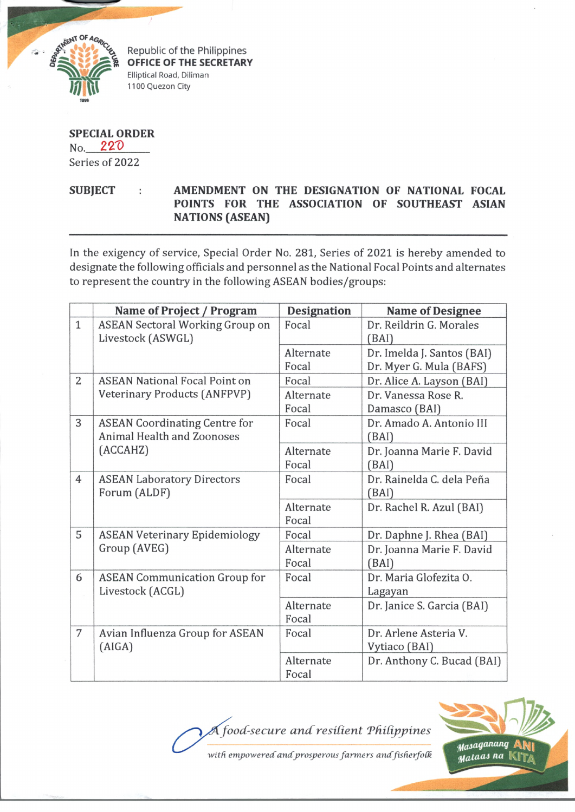

Republic of the Philippines **OFFICE OF THE SECRETARY** Elliptical Road, Diliman 1100 Quezon City

## **SPECIAL ORDER**  $No. 220$ Series of 2022

SUBJECT : AMENDMENT ON THE DESIGNATION OF NATIONAL FOCAL **POINTS FOR THE ASSOCIATION OF SOUTHEAST ASIAN NATIONS (ASEAN)**

In the exigency of service, Special Order No. 281, Series of 2021 is hereby amended to designate the following officials and personnel as the National Focal Points and alternates to represent the country in the following ASEAN bodies/groups:

|                | Name of Project / Program                                                      | <b>Designation</b> | <b>Name of Designee</b>                               |
|----------------|--------------------------------------------------------------------------------|--------------------|-------------------------------------------------------|
| $\mathbf{1}$   | <b>ASEAN Sectoral Working Group on</b><br>Livestock (ASWGL)                    | Focal              | Dr. Reildrin G. Morales<br>(BAI)                      |
|                |                                                                                | Alternate<br>Focal | Dr. Imelda J. Santos (BAI)<br>Dr. Myer G. Mula (BAFS) |
| $\overline{2}$ | <b>ASEAN National Focal Point on</b><br><b>Veterinary Products (ANFPVP)</b>    | Focal              | Dr. Alice A. Layson (BAI)                             |
|                |                                                                                | Alternate<br>Focal | Dr. Vanessa Rose R.<br>Damasco (BAI)                  |
| 3              | <b>ASEAN Coordinating Centre for</b><br>Animal Health and Zoonoses<br>(ACCAHZ) | Focal              | Dr. Amado A. Antonio III<br>(BAI)                     |
|                |                                                                                | Alternate<br>Focal | Dr. Joanna Marie F. David<br>(BAI)                    |
| $\overline{4}$ | <b>ASEAN Laboratory Directors</b><br>Forum (ALDF)                              | Focal              | Dr. Rainelda C. dela Peña<br>(BAI)                    |
|                |                                                                                | Alternate<br>Focal | Dr. Rachel R. Azul (BAI)                              |
| 5              | <b>ASEAN Veterinary Epidemiology</b><br>Group (AVEG)                           | Focal              | Dr. Daphne J. Rhea (BAI)                              |
|                |                                                                                | Alternate<br>Focal | Dr. Joanna Marie F. David<br>(BAI)                    |
| 6              | <b>ASEAN Communication Group for</b><br>Livestock (ACGL)                       | Focal              | Dr. Maria Glofezita O.<br>Lagayan                     |
|                |                                                                                | Alternate<br>Focal | Dr. Janice S. Garcia (BAI)                            |
| 7              | Avian Influenza Group for ASEAN<br>(AIGA)                                      | Focal              | Dr. Arlene Asteria V.<br>Vytiaco (BAI)                |
|                |                                                                                | Alternate<br>Focal | Dr. Anthony C. Bucad (BAI)                            |

*food-secure andresident Tfidippines*



with empowered and prosperous farmers and fisherfolk